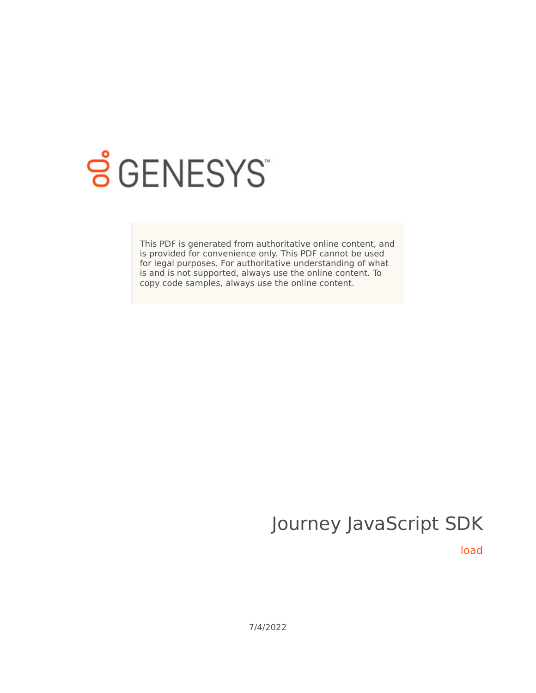

# **SGENESYS**

This PDF is generated from authoritative online content, and is provided for convenience only. This PDF cannot be used for legal purposes. For authoritative understanding of what is and is not supported, always use the online content. To copy code samples, always use the online content.

# Journey JavaScript SDK

load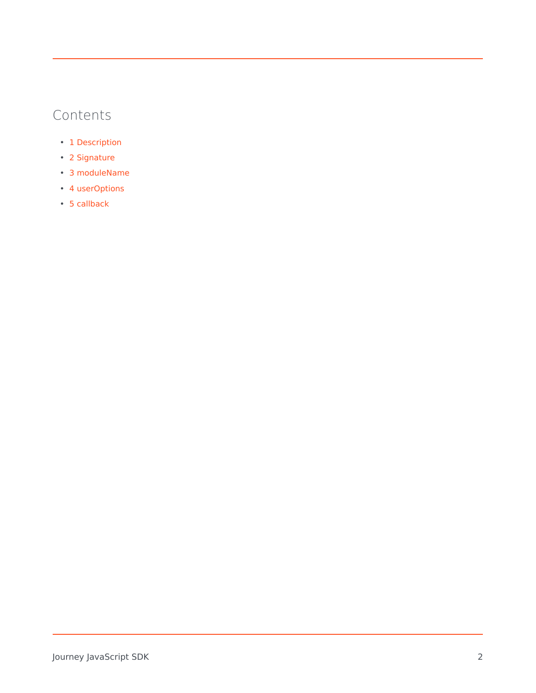# Contents

- 1 [Description](#page-2-0)
- 2 [Signature](#page-2-1)
- 3 [moduleName](#page-2-2)
- 4 [userOptions](#page-2-3)
- 5 [callback](#page-3-0)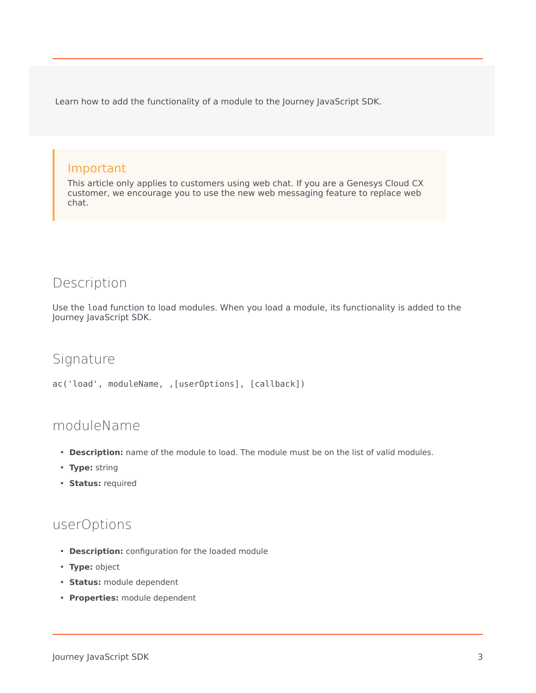Learn how to add the functionality of a module to the Journey JavaScript SDK.

#### Important

This article only applies to customers using web chat. If you are a Genesys Cloud CX customer, we encourage you to use the new web messaging feature to replace web chat.

## <span id="page-2-0"></span>Description

Use the load function to load modules. When you load a module, its functionality is added to the Journey JavaScript SDK.

#### <span id="page-2-1"></span>Signature

```
ac('load', moduleName, ,[userOptions], [callback])
```
### <span id="page-2-2"></span>moduleName

- **Description:** name of the module to load. The module must be on the list of valid modules.
- **Type:** string
- **Status:** required

#### <span id="page-2-3"></span>userOptions

- **Description:** configuration for the loaded module
- **Type:** object
- **Status:** module dependent
- **Properties:** module dependent